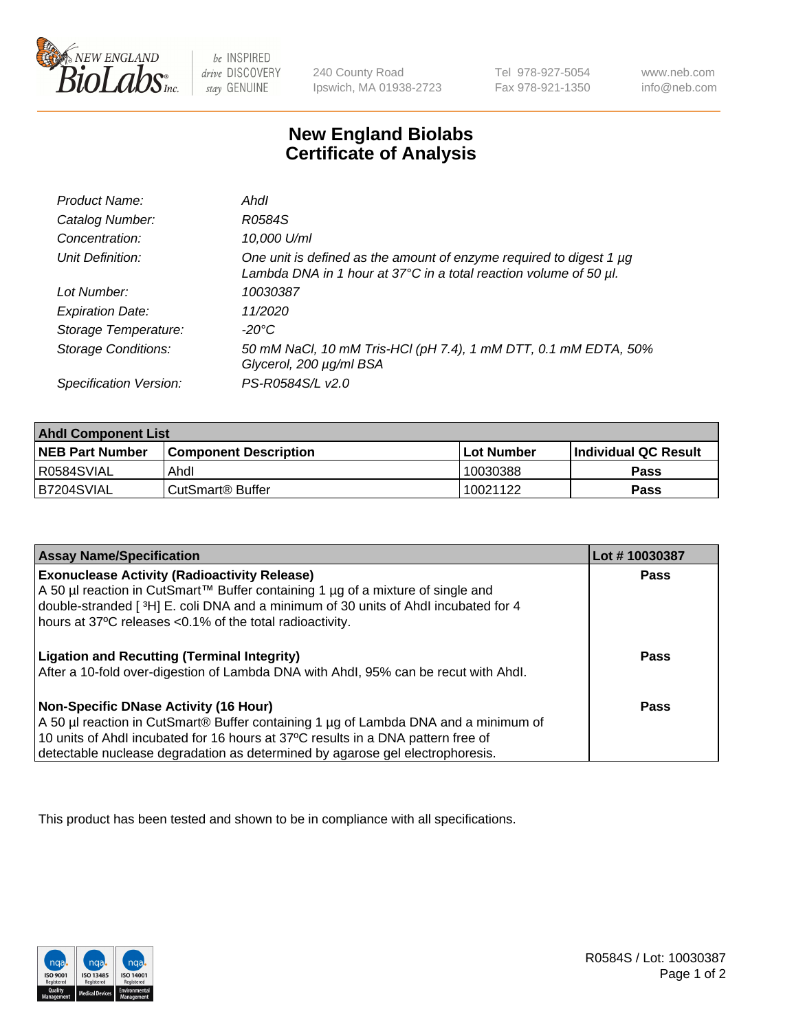

be INSPIRED drive DISCOVERY stay GENUINE

240 County Road Ipswich, MA 01938-2723 Tel 978-927-5054 Fax 978-921-1350

www.neb.com info@neb.com

## **New England Biolabs Certificate of Analysis**

| Product Name:              | Ahdl                                                                                                                                                    |
|----------------------------|---------------------------------------------------------------------------------------------------------------------------------------------------------|
| Catalog Number:            | R0584S                                                                                                                                                  |
| Concentration:             | 10,000 U/ml                                                                                                                                             |
| Unit Definition:           | One unit is defined as the amount of enzyme required to digest 1 µg<br>Lambda DNA in 1 hour at $37^{\circ}$ C in a total reaction volume of 50 $\mu$ l. |
| Lot Number:                | 10030387                                                                                                                                                |
| <b>Expiration Date:</b>    | 11/2020                                                                                                                                                 |
| Storage Temperature:       | -20°C                                                                                                                                                   |
| <b>Storage Conditions:</b> | 50 mM NaCl, 10 mM Tris-HCl (pH 7.4), 1 mM DTT, 0.1 mM EDTA, 50%<br>Glycerol, 200 µg/ml BSA                                                              |
| Specification Version:     | PS-R0584S/L v2.0                                                                                                                                        |

| <b>Ahdl Component List</b> |                              |              |                             |  |
|----------------------------|------------------------------|--------------|-----------------------------|--|
| <b>NEB Part Number</b>     | <b>Component Description</b> | l Lot Number | <b>Individual QC Result</b> |  |
| R0584SVIAL                 | Ahdl                         | 10030388     | Pass                        |  |
| B7204SVIAL                 | l CutSmart® Buffer           | 10021122     | Pass                        |  |

| <b>Assay Name/Specification</b>                                                                                                                | Lot #10030387 |
|------------------------------------------------------------------------------------------------------------------------------------------------|---------------|
| <b>Exonuclease Activity (Radioactivity Release)</b>                                                                                            | <b>Pass</b>   |
| A 50 µl reaction in CutSmart™ Buffer containing 1 µg of a mixture of single and                                                                |               |
| double-stranded [3H] E. coli DNA and a minimum of 30 units of Ahdl incubated for 4<br>hours at 37°C releases <0.1% of the total radioactivity. |               |
|                                                                                                                                                |               |
| <b>Ligation and Recutting (Terminal Integrity)</b>                                                                                             | <b>Pass</b>   |
| After a 10-fold over-digestion of Lambda DNA with Ahdl, 95% can be recut with Ahdl.                                                            |               |
| Non-Specific DNase Activity (16 Hour)                                                                                                          | <b>Pass</b>   |
| A 50 µl reaction in CutSmart® Buffer containing 1 µg of Lambda DNA and a minimum of                                                            |               |
| 10 units of Ahdl incubated for 16 hours at 37°C results in a DNA pattern free of                                                               |               |
| detectable nuclease degradation as determined by agarose gel electrophoresis.                                                                  |               |

This product has been tested and shown to be in compliance with all specifications.